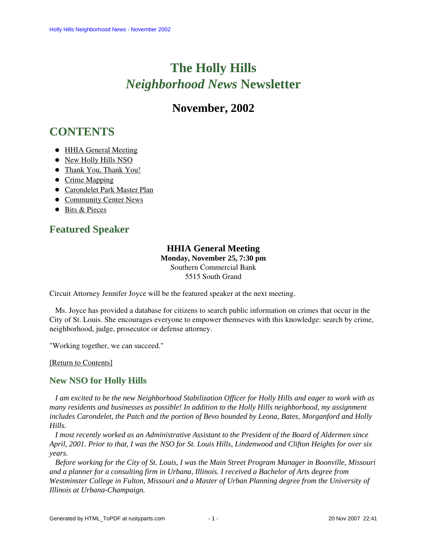# **The Holly Hills**  *Neighborhood News* **Newsletter**

# **November, 2002**

# <span id="page-0-2"></span>**CONTENTS**

- [HHIA General Meeting](#page-0-0)
- [New Holly Hills NSO](#page-0-1)
- [Thank You, Thank You!](#page-1-0)
- [Crime Mapping](#page-1-1)
- [Carondelet Park Master Plan](#page-1-2)
- [Community Center News](#page-2-0)
- [Bits & Pieces](#page-2-1)

## <span id="page-0-0"></span>**Featured Speaker**

# **HHIA General Meeting**

**Monday, November 25, 7:30 pm** Southern Commercial Bank 5515 South Grand

Circuit Attorney Jennifer Joyce will be the featured speaker at the next meeting.

 Ms. Joyce has provided a database for citizens to search public information on crimes that occur in the City of St. Louis. She encourages everyone to empower themseves with this knowledge: search by crime, neighborhood, judge, prosecutor or defense attorney.

"Working together, we can succeed."

[\[Return to Contents\]](#page-0-2) 

### <span id="page-0-1"></span>**New NSO for Holly Hills**

 *I am excited to be the new Neighborhood Stabilization Officer for Holly Hills and eager to work with as many residents and businesses as possible! In addition to the Holly Hills neighborhood, my assignment includes Carondelet, the Patch and the portion of Bevo bounded by Leona, Bates, Morganford and Holly Hills.* 

 *I most recently worked as an Administrative Assistant to the President of the Board of Aldermen since April, 2001. Prior to that, I was the NSO for St. Louis Hills, Lindenwood and Clifton Heights for over six years.* 

 *Before working for the City of St. Louis, I was the Main Street Program Manager in Boonville, Missouri and a planner for a consulting firm in Urbana, Illinois. I received a Bachelor of Arts degree from Westminster College in Fulton, Missouri and a Master of Urban Planning degree from the University of Illinois at Urbana-Champaign.*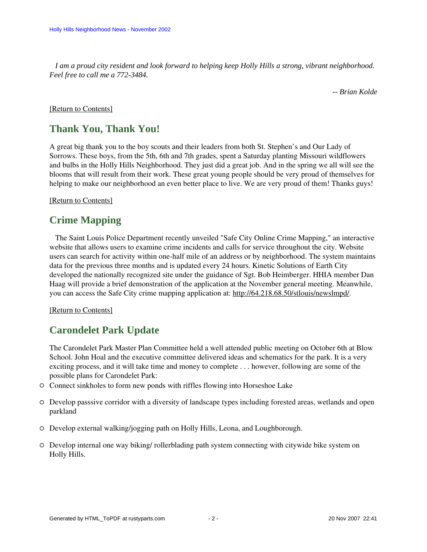*I am a proud city resident and look forward to helping keep Holly Hills a strong, vibrant neighborhood. Feel free to call me a 772-3484.* 

*-- Brian Kolde*

### <span id="page-1-0"></span>[\[Return to Contents\]](#page-0-2)

### **Thank You, Thank You!**

A great big thank you to the boy scouts and their leaders from both St. Stephen's and Our Lady of Sorrows. These boys, from the 5th, 6th and 7th grades, spent a Saturday planting Missouri wildflowers and bulbs in the Holly Hills Neighborhood. They just did a great job. And in the spring we all will see the blooms that will result from their work. These great young people should be very proud of themselves for helping to make our neighborhood an even better place to live. We are very proud of them! Thanks guys!

<span id="page-1-1"></span>[\[Return to Contents\]](#page-0-2)

### **Crime Mapping**

 The Saint Louis Police Department recently unveiled "Safe City Online Crime Mapping," an interactive website that allows users to examine crime incidents and calls for service throughout the city. Website users can search for activity within one-half mile of an address or by neighborhood. The system maintains data for the previous three months and is updated every 24 hours. Kinetic Solutions of Earth City developed the nationally recognized site under the guidance of Sgt. Bob Heimberger. HHIA member Dan Haag will provide a brief demonstration of the application at the November general meeting. Meanwhile, you can access the Safe City crime mapping application at: [http://64.218.68.50/stlouis/newslmpd/.](http://64.218.68.50/stlouis/newslmpd/)

[\[Return to Contents\]](#page-0-2)

### <span id="page-1-2"></span>**Carondelet Park Update**

The Carondelet Park Master Plan Committee held a well attended public meeting on October 6th at Blow School. John Hoal and the executive committee delivered ideas and schematics for the park. It is a very exciting process, and it will take time and money to complete . . . however, following are some of the possible plans for Carondelet Park:

- Connect sinkholes to form new ponds with riffles flowing into Horseshoe Lake
- Develop passsive corridor with a diversity of landscape types including forested areas, wetlands and open parkland
- Develop external walking/jogging path on Holly Hills, Leona, and Loughborough.
- Develop internal one way biking/ rollerblading path system connecting with citywide bike system on Holly Hills.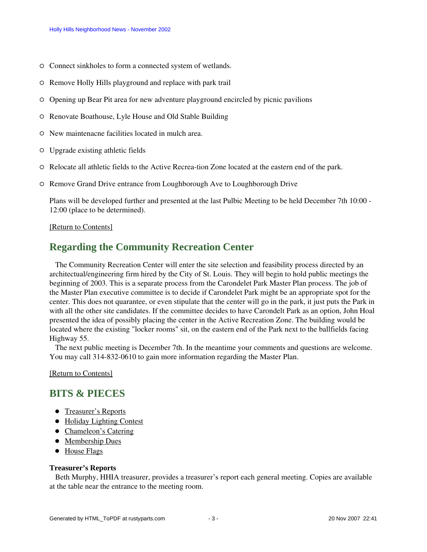- $\circ$  Connect sinkholes to form a connected system of wetlands.
- Remove Holly Hills playground and replace with park trail
- Opening up Bear Pit area for new adventure playground encircled by picnic pavilions
- Renovate Boathouse, Lyle House and Old Stable Building
- New maintenacne facilities located in mulch area.
- Upgrade existing athletic fields
- $\circ$  Relocate all athletic fields to the Active Recrea-tion Zone located at the eastern end of the park.
- Remove Grand Drive entrance from Loughborough Ave to Loughborough Drive

Plans will be developed further and presented at the last Pulbic Meeting to be held December 7th 10:00 - 12:00 (place to be determined).

### [\[Return to Contents\]](#page-0-2)

# <span id="page-2-0"></span>**Regarding the Community Recreation Center**

 The Community Recreation Center will enter the site selection and feasibility process directed by an architectual/engineering firm hired by the City of St. Louis. They will begin to hold public meetings the beginning of 2003. This is a separate process from the Carondelet Park Master Plan process. The job of the Master Plan executive committee is to decide if Carondelet Park might be an appropriate spot for the center. This does not quarantee, or even stipulate that the center will go in the park, it just puts the Park in with all the other site candidates. If the committee decides to have Carondelt Park as an option, John Hoal presented the idea of possibly placing the center in the Active Recreation Zone. The building would be located where the existing "locker rooms" sit, on the eastern end of the Park next to the ballfields facing Highway 55.

 The next public meeting is December 7th. In the meantime your comments and questions are welcome. You may call 314-832-0610 to gain more information regarding the Master Plan.

[\[Return to Contents\]](#page-0-2)

# <span id="page-2-3"></span><span id="page-2-1"></span>**BITS & PIECES**

- [Treasurer's Reports](#page-2-2)
- [Holiday Lighting Contest](#page-3-0)
- [Chameleon's Catering](#page-3-1)
- [Membership Dues](#page-3-2)
- [House Flags](#page-3-3)

### <span id="page-2-2"></span>**Treasurer's Reports**

 Beth Murphy, HHIA treasurer, provides a treasurer's report each general meeting. Copies are available at the table near the entrance to the meeting room.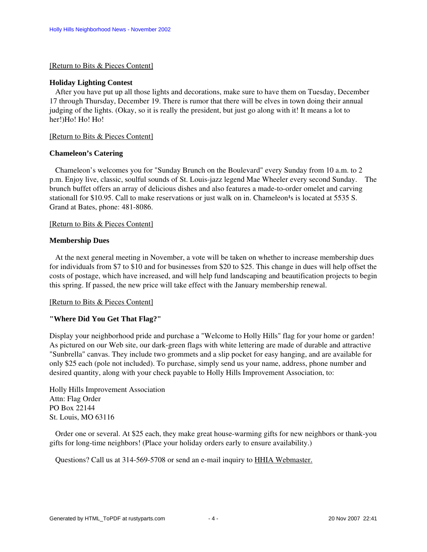#### [\[Return to Bits & Pieces Content\]](#page-2-3)

### <span id="page-3-0"></span>**Holiday Lighting Contest**

 After you have put up all those lights and decorations, make sure to have them on Tuesday, December 17 through Thursday, December 19. There is rumor that there will be elves in town doing their annual judging of the lights. (Okay, so it is really the president, but just go along with it! It means a lot to her!)Ho! Ho! Ho!

### [\[Return to Bits & Pieces Content\]](#page-2-3)

### <span id="page-3-1"></span>**Chameleon's Catering**

 Chameleon's welcomes you for "Sunday Brunch on the Boulevard" every Sunday from 10 a.m. to 2 p.m. Enjoy live, classic, soulful sounds of St. Louis-jazz legend Mae Wheeler every second Sunday. The brunch buffet offers an array of delicious dishes and also features a made-to-order omelet and carving stationall for \$10.95. Call to make reservations or just walk on in. Chameleon<sup>1</sup>s is located at 5535 S. Grand at Bates, phone: 481-8086.

### [\[Return to Bits & Pieces Content\]](#page-2-3)

### <span id="page-3-2"></span>**Membership Dues**

 At the next general meeting in November, a vote will be taken on whether to increase membership dues for individuals from \$7 to \$10 and for businesses from \$20 to \$25. This change in dues will help offset the costs of postage, which have increased, and will help fund landscaping and beautification projects to begin this spring. If passed, the new price will take effect with the January membership renewal.

### [\[Return to Bits & Pieces Content\]](#page-2-3)

### <span id="page-3-3"></span>**"Where Did You Get That Flag?"**

Display your neighborhood pride and purchase a "Welcome to Holly Hills" flag for your home or garden! As pictured on our Web site, our dark-green flags with white lettering are made of durable and attractive "Sunbrella" canvas. They include two grommets and a slip pocket for easy hanging, and are available for only \$25 each (pole not included). To purchase, simply send us your name, address, phone number and desired quantity, along with your check payable to Holly Hills Improvement Association, to:

Holly Hills Improvement Association Attn: Flag Order PO Box 22144 St. Louis, MO 63116

 Order one or several. At \$25 each, they make great house-warming gifts for new neighbors or thank-you gifts for long-time neighbors! (Place your holiday orders early to ensure availability.)

Questions? Call us at 314-569-5708 or send an e-mail inquiry to HHIA Webmaster.